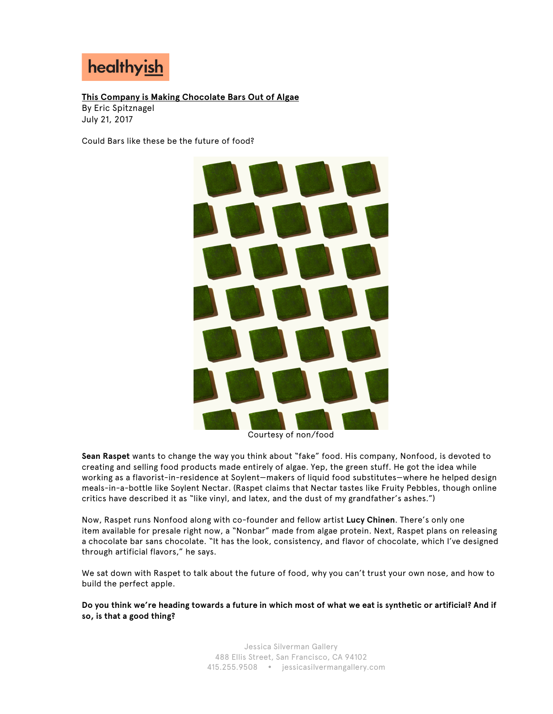

**This Company is Making Chocolate Bars Out of Algae**  By Eric Spitznagel July 21, 2017

Could Bars like these be the future of food?



Courtesy of non/food

**Sean Raspet** wants to change the way you think about "fake" food. His company, Nonfood, is devoted to creating and selling food products made entirely of algae. Yep, the green stuff. He got the idea while working as a flavorist-in-residence at Soylent—makers of liquid food substitutes—where he helped design meals-in-a-bottle like Soylent Nectar. (Raspet claims that Nectar tastes like Fruity Pebbles, though online critics have described it as "like vinyl, and latex, and the dust of my grandfather's ashes.")

Now, Raspet runs Nonfood along with co-founder and fellow artist **Lucy Chinen**. There's only one item available for presale right now, a "Nonbar" made from algae protein. Next, Raspet plans on releasing a chocolate bar sans chocolate. "It has the look, consistency, and flavor of chocolate, which I've designed through artificial flavors," he says.

We sat down with Raspet to talk about the future of food, why you can't trust your own nose, and how to build the perfect apple.

**Do you think we're heading towards a future in which most of what we eat is synthetic or artificial? And if so, is that a good thing?**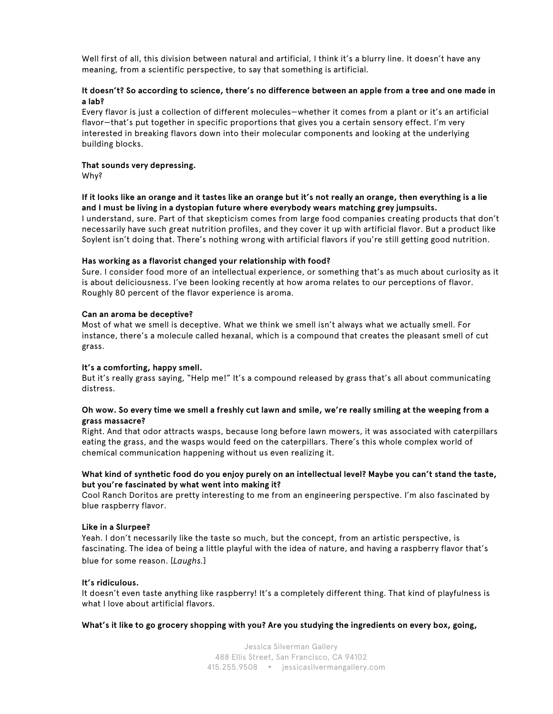Well first of all, this division between natural and artificial, I think it's a blurry line. It doesn't have any meaning, from a scientific perspective, to say that something is artificial.

### **It doesn't? So according to science, there's no difference between an apple from a tree and one made in a lab?**

Every flavor is just a collection of different molecules—whether it comes from a plant or it's an artificial flavor—that's put together in specific proportions that gives you a certain sensory effect. I'm very interested in breaking flavors down into their molecular components and looking at the underlying building blocks.

### **That sounds very depressing.**

Why?

## **If it looks like an orange and it tastes like an orange but it's not really an orange, then everything is a lie and I must be living in a dystopian future where everybody wears matching grey jumpsuits.**

I understand, sure. Part of that skepticism comes from large food companies creating products that don't necessarily have such great nutrition profiles, and they cover it up with artificial flavor. But a product like Soylent isn't doing that. There's nothing wrong with artificial flavors if you're still getting good nutrition.

### **Has working as a flavorist changed your relationship with food?**

Sure. I consider food more of an intellectual experience, or something that's as much about curiosity as it is about deliciousness. I've been looking recently at how aroma relates to our perceptions of flavor. Roughly 80 percent of the flavor experience is aroma.

### **Can an aroma be deceptive?**

Most of what we smell is deceptive. What we think we smell isn't always what we actually smell. For instance, there's a molecule called hexanal, which is a compound that creates the pleasant smell of cut grass.

## **It's a comforting, happy smell.**

But it's really grass saying, "Help me!" It's a compound released by grass that's all about communicating distress.

### **Oh wow. So every time we smell a freshly cut lawn and smile, we're really smiling at the weeping from a grass massacre?**

Right. And that odor attracts wasps, because long before lawn mowers, it was associated with caterpillars eating the grass, and the wasps would feed on the caterpillars. There's this whole complex world of chemical communication happening without us even realizing it.

## **What kind of synthetic food do you enjoy purely on an intellectual level? Maybe you can't stand the taste, but you're fascinated by what went into making it?**

Cool Ranch Doritos are pretty interesting to me from an engineering perspective. I'm also fascinated by blue raspberry flavor.

#### **Like in a Slurpee?**

Yeah. I don't necessarily like the taste so much, but the concept, from an artistic perspective, is fascinating. The idea of being a little playful with the idea of nature, and having a raspberry flavor that's blue for some reason. [*Laughs.*]

#### **It's ridiculous.**

It doesn't even taste anything like raspberry! It's a completely different thing. That kind of playfulness is what I love about artificial flavors.

**What's it like to go grocery shopping with you? Are you studying the ingredients on every box, going,**